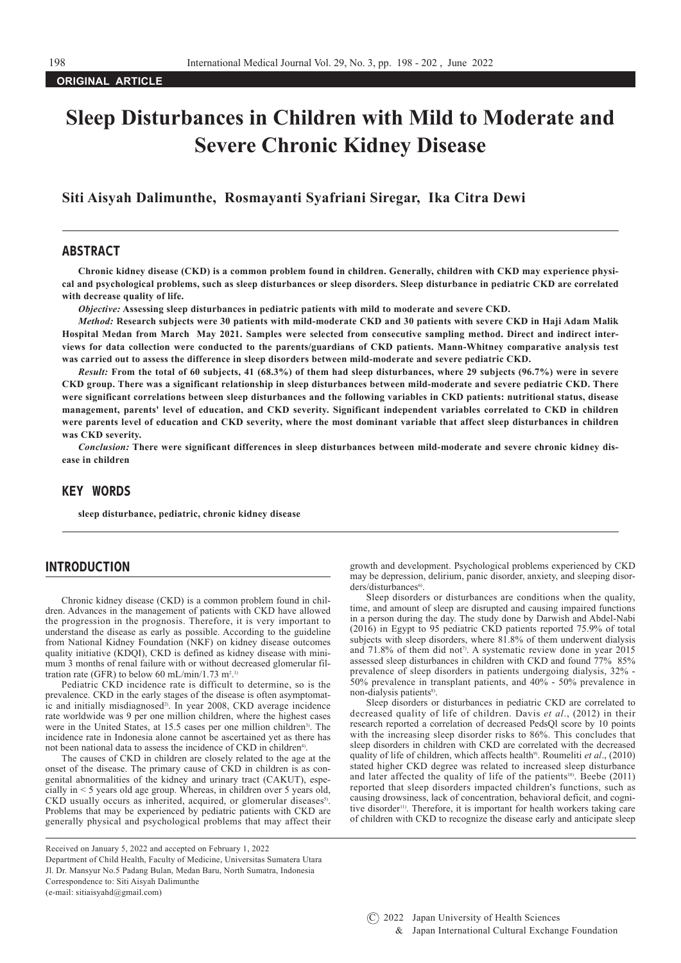**ORIGINAL ARTICLE**

# **Sleep Disturbances in Children with Mild to Moderate and Severe Chronic Kidney Disease**

**Siti Aisyah Dalimunthe, Rosmayanti Syafriani Siregar, Ika Citra Dewi**

## ABSTRACT

**Chronic kidney disease (CKD) is a common problem found in children. Generally, children with CKD may experience physical and psychological problems, such as sleep disturbances or sleep disorders. Sleep disturbance in pediatric CKD are correlated with decrease quality of life.** 

*Objective:* **Assessing sleep disturbances in pediatric patients with mild to moderate and severe CKD.**

*Method:* **Research subjects were 30 patients with mild-moderate CKD and 30 patients with severe CKD in Haji Adam Malik Hospital Medan from March May 2021. Samples were selected from consecutive sampling method. Direct and indirect interviews for data collection were conducted to the parents/guardians of CKD patients. Mann-Whitney comparative analysis test was carried out to assess the difference in sleep disorders between mild-moderate and severe pediatric CKD.** 

*Result:* **From the total of 60 subjects, 41 (68.3%) of them had sleep disturbances, where 29 subjects (96.7%) were in severe CKD group. There was a significant relationship in sleep disturbances between mild-moderate and severe pediatric CKD. There were significant correlations between sleep disturbances and the following variables in CKD patients: nutritional status, disease management, parents' level of education, and CKD severity. Significant independent variables correlated to CKD in children were parents level of education and CKD severity, where the most dominant variable that affect sleep disturbances in children was CKD severity.**

*Conclusion:* **There were significant differences in sleep disturbances between mild-moderate and severe chronic kidney disease in children** 

# KEY WORDS

**sleep disturbance, pediatric, chronic kidney disease**

## INTRODUCTION

Chronic kidney disease (CKD) is a common problem found in children. Advances in the management of patients with CKD have allowed the progression in the prognosis. Therefore, it is very important to understand the disease as early as possible. According to the guideline from National Kidney Foundation (NKF) on kidney disease outcomes quality initiative (KDQI), CKD is defined as kidney disease with minimum 3 months of renal failure with or without decreased glomerular filtration rate (GFR) to below 60 mL/min/1.73 m<sup>2.1</sup>

Pediatric CKD incidence rate is difficult to determine, so is the prevalence. CKD in the early stages of the disease is often asymptomatic and initially misdiagnosed<sup>2)</sup>. In year 2008, CKD average incidence rate worldwide was 9 per one million children, where the highest cases were in the United States, at 15.5 cases per one million children<sup>3</sup>. The incidence rate in Indonesia alone cannot be ascertained yet as there has not been national data to assess the incidence of CKD in children<sup>4)</sup>.

The causes of CKD in children are closely related to the age at the onset of the disease. The primary cause of CKD in children is as congenital abnormalities of the kidney and urinary tract (CAKUT), especially in  $\lt$  5 years old age group. Whereas, in children over 5 years old, CKD usually occurs as inherited, acquired, or glomerular diseases<sup>5)</sup>. Problems that may be experienced by pediatric patients with CKD are generally physical and psychological problems that may affect their

Received on January 5, 2022 and accepted on February 1, 2022 Department of Child Health, Faculty of Medicine, Universitas Sumatera Utara

Jl. Dr. Mansyur No.5 Padang Bulan, Medan Baru, North Sumatra, Indonesia Correspondence to: Siti Aisyah Dalimunthe

(e-mail: sitiaisyahd@gmail.com)

growth and development. Psychological problems experienced by CKD may be depression, delirium, panic disorder, anxiety, and sleeping disor $ders/disturbances<sup>6</sup>$ .

Sleep disorders or disturbances are conditions when the quality, time, and amount of sleep are disrupted and causing impaired functions in a person during the day. The study done by Darwish and Abdel-Nabi (2016) in Egypt to 95 pediatric CKD patients reported 75.9% of total subjects with sleep disorders, where 81.8% of them underwent dialysis and 71.8% of them did not<sup>7</sup>. A systematic review done in year 2015 assessed sleep disturbances in children with CKD and found 77% 85% prevalence of sleep disorders in patients undergoing dialysis, 32% - 50% prevalence in transplant patients, and 40% - 50% prevalence in non-dialysis patients<sup>8)</sup>.

Sleep disorders or disturbances in pediatric CKD are correlated to decreased quality of life of children. Davis *et al*., (2012) in their research reported a correlation of decreased PedsQl score by 10 points with the increasing sleep disorder risks to 86%. This concludes that sleep disorders in children with CKD are correlated with the decreased quality of life of children, which affects health<sup>9</sup>. Roumeliti *et al.*, (2010) stated higher CKD degree was related to increased sleep disturbance and later affected the quality of life of the patients<sup>10</sup>. Beebe (2011) reported that sleep disorders impacted children's functions, such as causing drowsiness, lack of concentration, behavioral deficit, and cognitive disorder<sup>11)</sup>. Therefore, it is important for health workers taking care of children with CKD to recognize the disease early and anticipate sleep

 $(C)$  2022 Japan University of Health Sciences & Japan International Cultural Exchange Foundation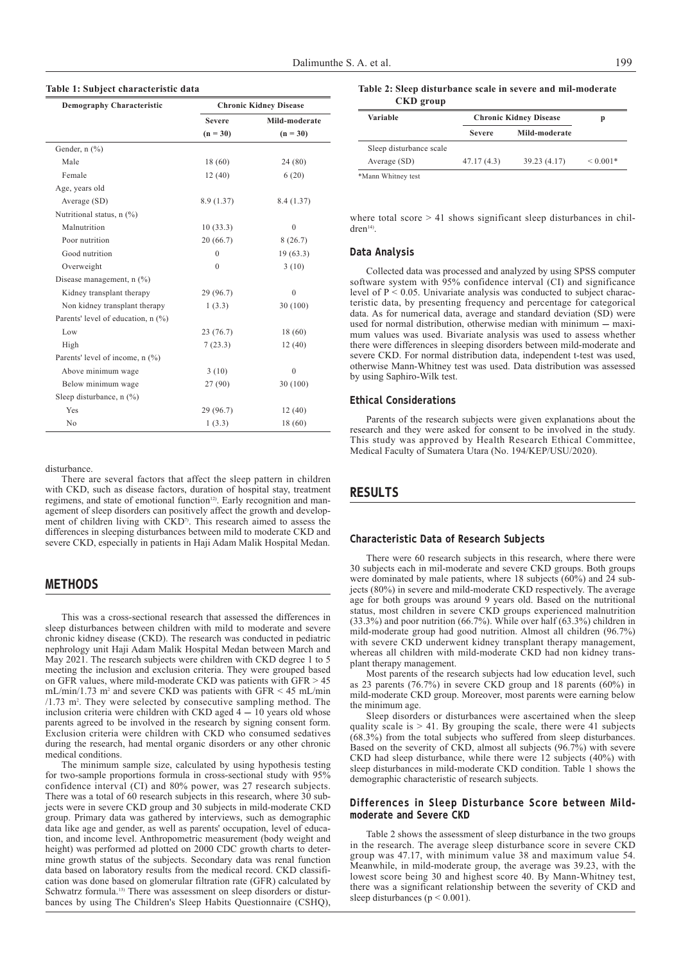#### **Table 1: Subject characteristic data**

| <b>Demography Characteristic</b>   | <b>Chronic Kidney Disease</b> |               |  |
|------------------------------------|-------------------------------|---------------|--|
|                                    | <b>Severe</b>                 | Mild-moderate |  |
|                                    | $(n = 30)$                    | $(n = 30)$    |  |
| Gender, $n$ $(\%)$                 |                               |               |  |
| Male                               | 18(60)                        | 24 (80)       |  |
| Female                             | 12(40)                        | 6(20)         |  |
| Age, years old                     |                               |               |  |
| Average (SD)                       | 8.9 (1.37)                    | 8.4 (1.37)    |  |
| Nutritional status, n (%)          |                               |               |  |
| Malnutrition                       | 10(33.3)                      | $\theta$      |  |
| Poor nutrition                     | 20(66.7)                      | 8(26.7)       |  |
| Good nutrition                     | 0                             | 19(63.3)      |  |
| Overweight                         | $\theta$                      | 3(10)         |  |
| Disease management, $n$ (%)        |                               |               |  |
| Kidney transplant therapy          | 29 (96.7)                     | $\mathbf{0}$  |  |
| Non kidney transplant therapy      | 1(3.3)                        | 30(100)       |  |
| Parents' level of education, n (%) |                               |               |  |
| Low                                | 23(76.7)                      | 18(60)        |  |
| High                               | 7(23.3)                       | 12(40)        |  |
| Parents' level of income, n (%)    |                               |               |  |
| Above minimum wage                 | 3(10)                         | $\theta$      |  |
| Below minimum wage                 | 27 (90)                       | 30(100)       |  |
| Sleep disturbance, n (%)           |                               |               |  |
| Yes                                | 29 (96.7)                     | 12(40)        |  |
| N <sub>0</sub>                     | 1(3.3)                        | 18 (60)       |  |

disturbance.

There are several factors that affect the sleep pattern in children with CKD, such as disease factors, duration of hospital stay, treatment regimens, and state of emotional function<sup>12)</sup>. Early recognition and management of sleep disorders can positively affect the growth and development of children living with CKD<sup>7)</sup>. This research aimed to assess the differences in sleeping disturbances between mild to moderate CKD and severe CKD, especially in patients in Haji Adam Malik Hospital Medan.

# METHODS

This was a cross-sectional research that assessed the differences in sleep disturbances between children with mild to moderate and severe chronic kidney disease (CKD). The research was conducted in pediatric nephrology unit Haji Adam Malik Hospital Medan between March and May 2021. The research subjects were children with CKD degree 1 to 5 meeting the inclusion and exclusion criteria. They were grouped based on GFR values, where mild-moderate CKD was patients with GFR > 45  $mL/min/1.73$  m<sup>2</sup> and severe CKD was patients with GFR  $\leq 45$  mL/min /1.73 m2 . They were selected by consecutive sampling method. The inclusion criteria were children with CKD aged  $4-10$  years old whose parents agreed to be involved in the research by signing consent form. Exclusion criteria were children with CKD who consumed sedatives during the research, had mental organic disorders or any other chronic medical conditions.

The minimum sample size, calculated by using hypothesis testing for two-sample proportions formula in cross-sectional study with 95% confidence interval (CI) and 80% power, was 27 research subjects. There was a total of  $60$  research subjects in this research, where  $30$  subjects were in severe CKD group and 30 subjects in mild-moderate CKD group. Primary data was gathered by interviews, such as demographic data like age and gender, as well as parents' occupation, level of education, and income level. Anthropometric measurement (body weight and height) was performed ad plotted on 2000 CDC growth charts to determine growth status of the subjects. Secondary data was renal function data based on laboratory results from the medical record. CKD classification was done based on glomerular filtration rate (GFR) calculated by Schwatrz formula.<sup>13)</sup> There was assessment on sleep disorders or disturbances by using The Children's Sleep Habits Questionnaire (CSHQ),

**Table 2: Sleep disturbance scale in severe and mil-moderate CKD group**

| Variable                | <b>Chronic Kidney Disease</b> | p             |              |  |
|-------------------------|-------------------------------|---------------|--------------|--|
|                         | <b>Severe</b>                 | Mild-moderate |              |  |
| Sleep disturbance scale |                               |               |              |  |
| Average $(SD)$          | 47.17(4.3)                    | 39.23 (4.17)  | ${}< 0.001*$ |  |

where total score > 41 shows significant sleep disturbances in children14).

#### Data Analysis

Collected data was processed and analyzed by using SPSS computer software system with 95% confidence interval (CI) and significance level of  $P < 0.05$ . Univariate analysis was conducted to subject characteristic data, by presenting frequency and percentage for categorical data. As for numerical data, average and standard deviation (SD) were used for normal distribution, otherwise median with minimum -- maximum values was used. Bivariate analysis was used to assess whether there were differences in sleeping disorders between mild-moderate and severe CKD. For normal distribution data, independent t-test was used, otherwise Mann-Whitney test was used. Data distribution was assessed by using Saphiro-Wilk test.

#### Ethical Considerations

Parents of the research subjects were given explanations about the research and they were asked for consent to be involved in the study. This study was approved by Health Research Ethical Committee, Medical Faculty of Sumatera Utara (No. 194/KEP/USU/2020).

# RESULTS

#### Characteristic Data of Research Subjects

There were 60 research subjects in this research, where there were 30 subjects each in mil-moderate and severe CKD groups. Both groups were dominated by male patients, where 18 subjects (60%) and 24 subjects (80%) in severe and mild-moderate CKD respectively. The average age for both groups was around 9 years old. Based on the nutritional status, most children in severe CKD groups experienced malnutrition  $(33.3\%)$  and poor nutrition  $(66.7\%)$ . While over half  $(63.3\%)$  children in mild-moderate group had good nutrition. Almost all children (96.7%) with severe CKD underwent kidney transplant therapy management, whereas all children with mild-moderate CKD had non kidney transplant therapy management.

Most parents of the research subjects had low education level, such as 23 parents (76.7%) in severe CKD group and 18 parents (60%) in mild-moderate CKD group. Moreover, most parents were earning below the minimum age.

Sleep disorders or disturbances were ascertained when the sleep quality scale is  $> 41$ . By grouping the scale, there were 41 subjects (68.3%) from the total subjects who suffered from sleep disturbances. Based on the severity of CKD, almost all subjects  $(96.7\%)$  with severe CKD had sleep disturbance, while there were 12 subjects (40%) with sleep disturbances in mild-moderate CKD condition. Table 1 shows the demographic characteristic of research subjects.

## Differences in Sleep Disturbance Score between Mildmoderate and Severe CKD

Table 2 shows the assessment of sleep disturbance in the two groups in the research. The average sleep disturbance score in severe CKD group was 47.17, with minimum value 38 and maximum value 54. Meanwhile, in mild-moderate group, the average was 39.23, with the lowest score being 30 and highest score 40. By Mann-Whitney test, there was a significant relationship between the severity of CKD and sleep disturbances ( $p < 0.001$ ).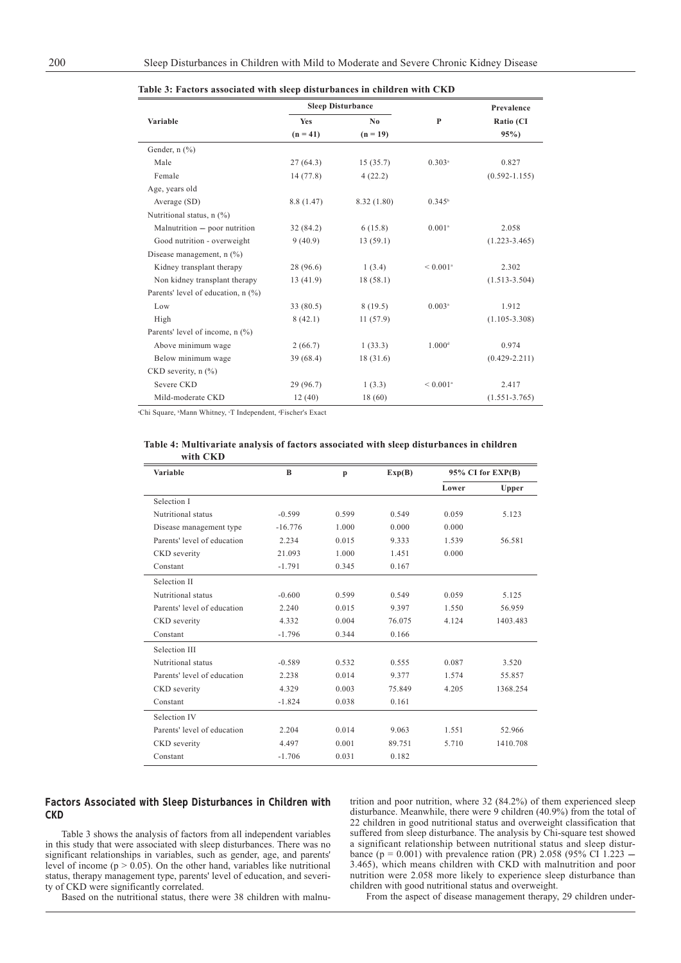|                                    |            | <b>Sleep Disturbance</b> |                        | Prevalence        |
|------------------------------------|------------|--------------------------|------------------------|-------------------|
| Variable                           | <b>Yes</b> | No                       | P                      | Ratio (CI         |
|                                    | $(n = 41)$ | $(n = 19)$               |                        | 95%               |
| Gender, $n$ $(\%)$                 |            |                          |                        |                   |
| Male                               | 27(64.3)   | 15(35.7)                 | $0.303^*$              | 0.827             |
| Female                             | 14(77.8)   | 4(22.2)                  |                        | $(0.592 - 1.155)$ |
| Age, years old                     |            |                          |                        |                   |
| Average (SD)                       | 8.8(1.47)  | 8.32 (1.80)              | $0.345^{\circ}$        |                   |
| Nutritional status, n (%)          |            |                          |                        |                   |
| Malnutrition - poor nutrition      | 32(84.2)   | 6(15.8)                  | $0.001$ <sup>a</sup>   | 2.058             |
| Good nutrition - overweight        | 9(40.9)    | 13(59.1)                 |                        | $(1.223 - 3.465)$ |
| Disease management, $n$ $(\%)$     |            |                          |                        |                   |
| Kidney transplant therapy          | 28 (96.6)  | 1(3.4)                   | $< 0.001$ <sup>a</sup> | 2.302             |
| Non kidney transplant therapy      | 13(41.9)   | 18(58.1)                 |                        | $(1.513 - 3.504)$ |
| Parents' level of education, n (%) |            |                          |                        |                   |
| Low                                | 33(80.5)   | 8(19.5)                  | $0.003$ <sup>a</sup>   | 1.912             |
| High                               | 8(42.1)    | 11(57.9)                 |                        | $(1.105 - 3.308)$ |
| Parents' level of income, n (%)    |            |                          |                        |                   |
| Above minimum wage                 | 2(66.7)    | 1(33.3)                  | 1.000 <sup>d</sup>     | 0.974             |
| Below minimum wage                 | 39(68.4)   | 18(31.6)                 |                        | $(0.429 - 2.211)$ |
| CKD severity, $n$ (%)              |            |                          |                        |                   |
| Severe CKD                         | 29 (96.7)  | 1(3.3)                   | $< 0.001$ <sup>a</sup> | 2.417             |
| Mild-moderate CKD                  | 12(40)     | 18(60)                   |                        | $(1.551 - 3.765)$ |

|  | Table 3: Factors associated with sleep disturbances in children with CKD |
|--|--------------------------------------------------------------------------|
|  |                                                                          |

<sup>®</sup>Chi Square, <sup>®</sup>Mann Whitney, °T Independent, ªFischer's Exact

#### **Table 4: Multivariate analysis of factors associated with sleep disturbances in children with CKD**

| Variable                    | B         | $\mathbf{p}$ | Exp(B) |       | 95% CI for EXP(B) |  |
|-----------------------------|-----------|--------------|--------|-------|-------------------|--|
|                             |           |              |        | Lower | Upper             |  |
| Selection I                 |           |              |        |       |                   |  |
| Nutritional status          | $-0.599$  | 0.599        | 0.549  | 0.059 | 5.123             |  |
| Disease management type     | $-16.776$ | 1.000        | 0.000  | 0.000 |                   |  |
| Parents' level of education | 2.234     | 0.015        | 9.333  | 1.539 | 56.581            |  |
| CKD severity                | 21.093    | 1.000        | 1.451  | 0.000 |                   |  |
| Constant                    | $-1.791$  | 0.345        | 0.167  |       |                   |  |
| Selection II                |           |              |        |       |                   |  |
| Nutritional status          | $-0.600$  | 0.599        | 0.549  | 0.059 | 5.125             |  |
| Parents' level of education | 2.240     | 0.015        | 9.397  | 1.550 | 56.959            |  |
| CKD severity                | 4.332     | 0.004        | 76.075 | 4.124 | 1403.483          |  |
| Constant                    | $-1.796$  | 0.344        | 0.166  |       |                   |  |
| Selection III               |           |              |        |       |                   |  |
| Nutritional status          | $-0.589$  | 0.532        | 0.555  | 0.087 | 3.520             |  |
| Parents' level of education | 2.238     | 0.014        | 9.377  | 1.574 | 55.857            |  |
| CKD severity                | 4.329     | 0.003        | 75.849 | 4.205 | 1368.254          |  |
| Constant                    | $-1.824$  | 0.038        | 0.161  |       |                   |  |
| Selection IV                |           |              |        |       |                   |  |
| Parents' level of education | 2.204     | 0.014        | 9.063  | 1.551 | 52.966            |  |
| CKD severity                | 4.497     | 0.001        | 89.751 | 5.710 | 1410.708          |  |
| Constant                    | $-1.706$  | 0.031        | 0.182  |       |                   |  |
|                             |           |              |        |       |                   |  |

## Factors Associated with Sleep Disturbances in Children with CKD

Table 3 shows the analysis of factors from all independent variables in this study that were associated with sleep disturbances. There was no significant relationships in variables, such as gender, age, and parents' level of income ( $p > 0.05$ ). On the other hand, variables like nutritional status, therapy management type, parents' level of education, and severity of CKD were significantly correlated.

trition and poor nutrition, where 32 (84.2%) of them experienced sleep disturbance. Meanwhile, there were 9 children (40.9%) from the total of 22 children in good nutritional status and overweight classification that suffered from sleep disturbance. The analysis by Chi-square test showed a significant relationship between nutritional status and sleep disturbance (p = 0.001) with prevalence ration (PR) 2.058 (95% CI 1.223 – 3.465), which means children with CKD with malnutrition and poor nutrition were 2.058 more likely to experience sleep disturbance than children with good nutritional status and overweight.

Based on the nutritional status, there were 38 children with malnu-

From the aspect of disease management therapy, 29 children under-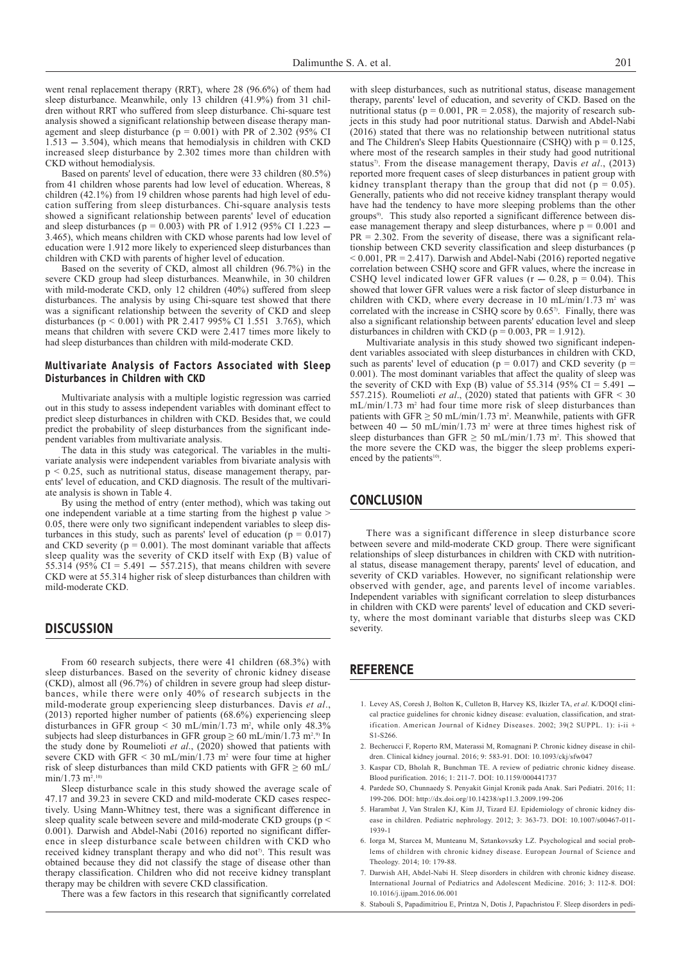went renal replacement therapy (RRT), where 28 (96.6%) of them had sleep disturbance. Meanwhile, only 13 children (41.9%) from 31 children without RRT who suffered from sleep disturbance. Chi-square test analysis showed a significant relationship between disease therapy management and sleep disturbance ( $p = 0.001$ ) with PR of 2.302 (95% CI  $1.513 - 3.504$ ), which means that hemodialysis in children with CKD increased sleep disturbance by 2.302 times more than children with CKD without hemodialysis.

Based on parents' level of education, there were 33 children (80.5%) from 41 children whose parents had low level of education. Whereas, 8 children (42.1%) from 19 children whose parents had high level of education suffering from sleep disturbances. Chi-square analysis tests showed a significant relationship between parents' level of education and sleep disturbances ( $p = 0.003$ ) with PR of 1.912 (95% CI 1.223 3.465), which means children with CKD whose parents had low level of education were 1.912 more likely to experienced sleep disturbances than children with CKD with parents of higher level of education.

Based on the severity of CKD, almost all children (96.7%) in the severe CKD group had sleep disturbances. Meanwhile, in 30 children with mild-moderate CKD, only 12 children (40%) suffered from sleep disturbances. The analysis by using Chi-square test showed that there was a significant relationship between the severity of CKD and sleep disturbances ( $p \le 0.001$ ) with PR 2.417 995% CI 1.551 3.765), which means that children with severe CKD were 2.417 times more likely to had sleep disturbances than children with mild-moderate CKD.

#### Multivariate Analysis of Factors Associated with Sleep Disturbances in Children with CKD

Multivariate analysis with a multiple logistic regression was carried out in this study to assess independent variables with dominant effect to predict sleep disturbances in children with CKD. Besides that, we could predict the probability of sleep disturbances from the significant independent variables from multivariate analysis.

The data in this study was categorical. The variables in the multivariate analysis were independent variables from bivariate analysis with  $p < 0.25$ , such as nutritional status, disease management therapy, parents' level of education, and CKD diagnosis. The result of the multivariate analysis is shown in Table 4.

By using the method of entry (enter method), which was taking out one independent variable at a time starting from the highest p value > 0.05, there were only two significant independent variables to sleep disturbances in this study, such as parents' level of education ( $p = 0.017$ ) and CKD severity ( $p = 0.001$ ). The most dominant variable that affects sleep quality was the severity of CKD itself with Exp (B) value of 55.314 (95% CI = 5.491  $-$  557.215), that means children with severe CKD were at 55.314 higher risk of sleep disturbances than children with mild-moderate CKD.

### **DISCUSSION**

From 60 research subjects, there were 41 children (68.3%) with sleep disturbances. Based on the severity of chronic kidney disease (CKD), almost all (96.7%) of children in severe group had sleep disturbances, while there were only 40% of research subjects in the mild-moderate group experiencing sleep disturbances. Davis *et al*., (2013) reported higher number of patients (68.6%) experiencing sleep disturbances in GFR group  $\leq$  30 mL/min/1.73 m<sup>2</sup>, while only 48.3% subjects had sleep disturbances in GFR group  $\geq 60$  mL/min/1.73 m<sup>2,9)</sup> In the study done by Roumelioti *et al*., (2020) showed that patients with severe CKD with  $GFR < 30$  mL/min/1.73 m<sup>2</sup> were four time at higher risk of sleep disturbances than mild CKD patients with GFR  $\geq 60$  mL/ min/1.73 m<sup>2</sup>. 10)

Sleep disturbance scale in this study showed the average scale of 47.17 and 39.23 in severe CKD and mild-moderate CKD cases respectively. Using Mann-Whitney test, there was a significant difference in sleep quality scale between severe and mild-moderate CKD groups (p < 0.001). Darwish and Abdel-Nabi (2016) reported no significant difference in sleep disturbance scale between children with CKD who received kidney transplant therapy and who did not<sup>7</sup>. This result was obtained because they did not classify the stage of disease other than therapy classification. Children who did not receive kidney transplant therapy may be children with severe CKD classification.

There was a few factors in this research that significantly correlated

with sleep disturbances, such as nutritional status, disease management therapy, parents' level of education, and severity of CKD. Based on the nutritional status ( $p = 0.001$ ,  $PR = 2.058$ ), the majority of research subjects in this study had poor nutritional status. Darwish and Abdel-Nabi (2016) stated that there was no relationship between nutritional status and The Children's Sleep Habits Questionnaire (CSHQ) with  $p = 0.125$ , where most of the research samples in their study had good nutritional status<sup>7</sup>. From the disease management therapy, Davis *et al.*, (2013) reported more frequent cases of sleep disturbances in patient group with kidney transplant therapy than the group that did not ( $p = 0.05$ ). Generally, patients who did not receive kidney transplant therapy would have had the tendency to have more sleeping problems than the other groups<sup>9)</sup>. This study also reported a significant difference between disease management therapy and sleep disturbances, where  $p = 0.001$  and  $PR = 2.302$ . From the severity of disease, there was a significant relationship between CKD severity classification and sleep disturbances (p  $< 0.001$ , PR = 2.417). Darwish and Abdel-Nabi (2016) reported negative correlation between CSHQ score and GFR values, where the increase in CSHQ level indicated lower GFR values  $(r - 0.28, p = 0.04)$ . This showed that lower GFR values were a risk factor of sleep disturbance in children with CKD, where every decrease in 10 mL/min/1.73 m<sup>2</sup> was correlated with the increase in CSHQ score by 0.657). Finally, there was also a significant relationship between parents' education level and sleep disturbances in children with CKD ( $p = 0.003$ , PR = 1.912).

Multivariate analysis in this study showed two significant independent variables associated with sleep disturbances in children with CKD, such as parents' level of education ( $p = 0.017$ ) and CKD severity ( $p =$ 0.001). The most dominant variables that affect the quality of sleep was the severity of CKD with Exp (B) value of  $55.314$  ( $95\%$  CI =  $5.491$  -557.215). Roumelioti *et al.*,  $(2020)$  stated that patients with GFR < 30 mL/min/1.73 m<sup>2</sup> had four time more risk of sleep disturbances than patients with  $GFR \geq 50$  mL/min/1.73 m<sup>2</sup>. Meanwhile, patients with GFR between  $40 - 50$  mL/min/1.73 m<sup>2</sup> were at three times highest risk of sleep disturbances than GFR  $\geq$  50 mL/min/1.73 m<sup>2</sup>. This showed that the more severe the CKD was, the bigger the sleep problems experienced by the patients<sup>10)</sup>.

# **CONCLUSION**

There was a significant difference in sleep disturbance score between severe and mild-moderate CKD group. There were significant relationships of sleep disturbances in children with CKD with nutritional status, disease management therapy, parents' level of education, and severity of CKD variables. However, no significant relationship were observed with gender, age, and parents level of income variables. Independent variables with significant correlation to sleep disturbances in children with CKD were parents' level of education and CKD severity, where the most dominant variable that disturbs sleep was CKD severity

# **REFERENCE**

- 1. Levey AS, Coresh J, Bolton K, Culleton B, Harvey KS, Ikizler TA, *et al*. K/DOQI clinical practice guidelines for chronic kidney disease: evaluation, classification, and stratification. American Journal of Kidney Diseases. 2002; 39(2 SUPPL. 1): i-ii + S1-S266.
- 2. Becherucci F, Roperto RM, Materassi M, Romagnani P. Chronic kidney disease in children. Clinical kidney journal. 2016; 9: 583-91. DOI: 10.1093/ckj/sfw047
- 3. Kaspar CD, Bholah R, Bunchman TE. A review of pediatric chronic kidney disease. Blood purification. 2016; 1: 211-7. DOI: 10.1159/000441737
- 4. Pardede SO, Chunnaedy S. Penyakit Ginjal Kronik pada Anak. Sari Pediatri. 2016; 11: 199-206. DOI: http://dx.doi.org/10.14238/sp11.3.2009.199-206
- 5. Harambat J, Van Stralen KJ, Kim JJ, Tizard EJ. Epidemiology of chronic kidney disease in children. Pediatric nephrology. 2012; 3: 363-73. DOI: 10.1007/s00467-011- 1939-1
- 6. Iorga M, Starcea M, Munteanu M, Sztankovszky LZ. Psychological and social problems of children with chronic kidney disease. European Journal of Science and Theology. 2014; 10: 179-88.
- 7. Darwish AH, Abdel-Nabi H. Sleep disorders in children with chronic kidney disease. International Journal of Pediatrics and Adolescent Medicine. 2016; 3: 112-8. DOI: 10.1016/j.ijpam.2016.06.001
- 8. Stabouli S, Papadimitriou E, Printza N, Dotis J, Papachristou F. Sleep disorders in pedi-